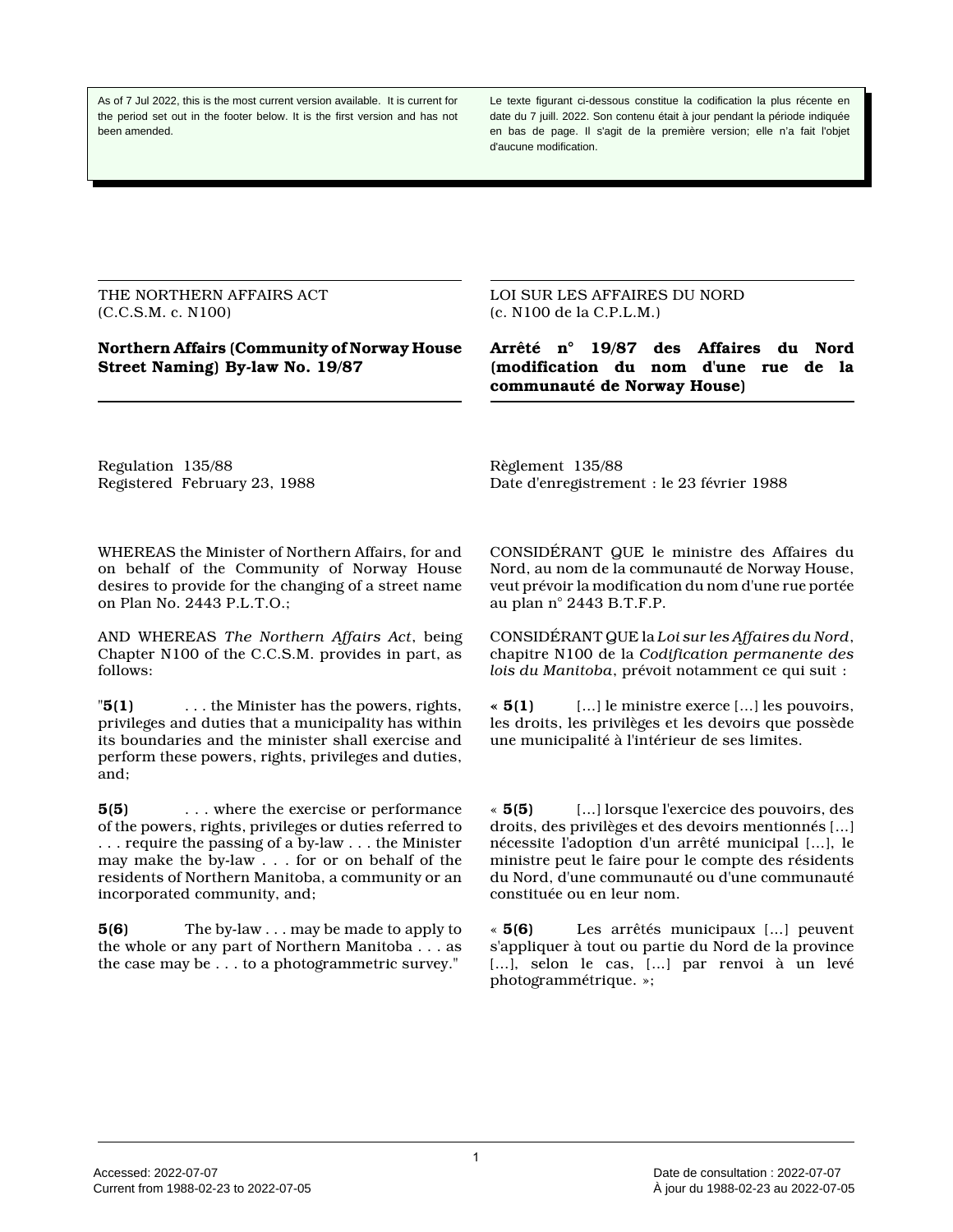As of 7 Jul 2022, this is the most current version available. It is current for the period set out in the footer below. It is the first version and has not been amended.

Le texte figurant ci-dessous constitue la codification la plus récente en date du 7 juill. 2022. Son contenu était à jour pendant la période indiquée en bas de page. Il s'agit de la première version; elle n'a fait l'objet d'aucune modification.

THE NORTHERN AFFAIRS ACT (C.C.S.M. c. N100)

**Northern Affairs (Community of Norway House Street Naming) By-law No. 19/87**

LOI SUR LES AFFAIRES DU NORD (c. N100 de la C.P.L.M.)

**Arrêté n° 19/87 des Affaires du Nord (modification du nom d'une rue de la communauté de Norway House)**

Regulation 135/88 Registered February 23, 1988 Règlement 135/88 Date d'enregistrement : le 23 février 1988

WHEREAS the Minister of Northern Affairs, for and on behalf of the Community of Norway House desires to provide for the changing of a street name on Plan No. 2443 P.L.T.O.;

AND WHEREAS *The Northern Affairs Act*, being Chapter N100 of the C.C.S.M. provides in part, as follows:

"**5(1)** . . . the Minister has the powers, rights, privileges and duties that a municipality has within its boundaries and the minister shall exercise and perform these powers, rights, privileges and duties, and;

**5(5)** . . . where the exercise or performance of the powers, rights, privileges or duties referred to . . . require the passing of a by-law . . . the Minister may make the by-law . . . for or on behalf of the residents of Northern Manitoba, a community or an incorporated community, and;

**5(6)** The by-law . . . may be made to apply to the whole or any part of Northern Manitoba . . . as the case may be . . . to a photogrammetric survey."

CONSIDÉRANT QUE le ministre des Affaires du Nord, au nom de la communauté de Norway House, veut prévoir la modification du nom d'une rue portée au plan n° 2443 B.T.F.P.

CONSIDÉRANT QUE la *Loi sur les Affaires du Nord*, chapitre N100 de la *Codification permanente des lois du Manitoba*, prévoit notamment ce qui suit :

**« 5(1)** [...] le ministre exerce [...] les pouvoirs, les droits, les privilèges et les devoirs que possède une municipalité à l'intérieur de ses limites.

« **5(5)** [...] lorsque l'exercice des pouvoirs, des droits, des privilèges et des devoirs mentionnés [...] nécessite l'adoption d'un arrêté municipal [...], le ministre peut le faire pour le compte des résidents du Nord, d'une communauté ou d'une communauté constituée ou en leur nom.

« **5(6)** Les arrêtés municipaux [...] peuvent s'appliquer à tout ou partie du Nord de la province [...], selon le cas, [...] par renvoi à un levé photogrammétrique. »;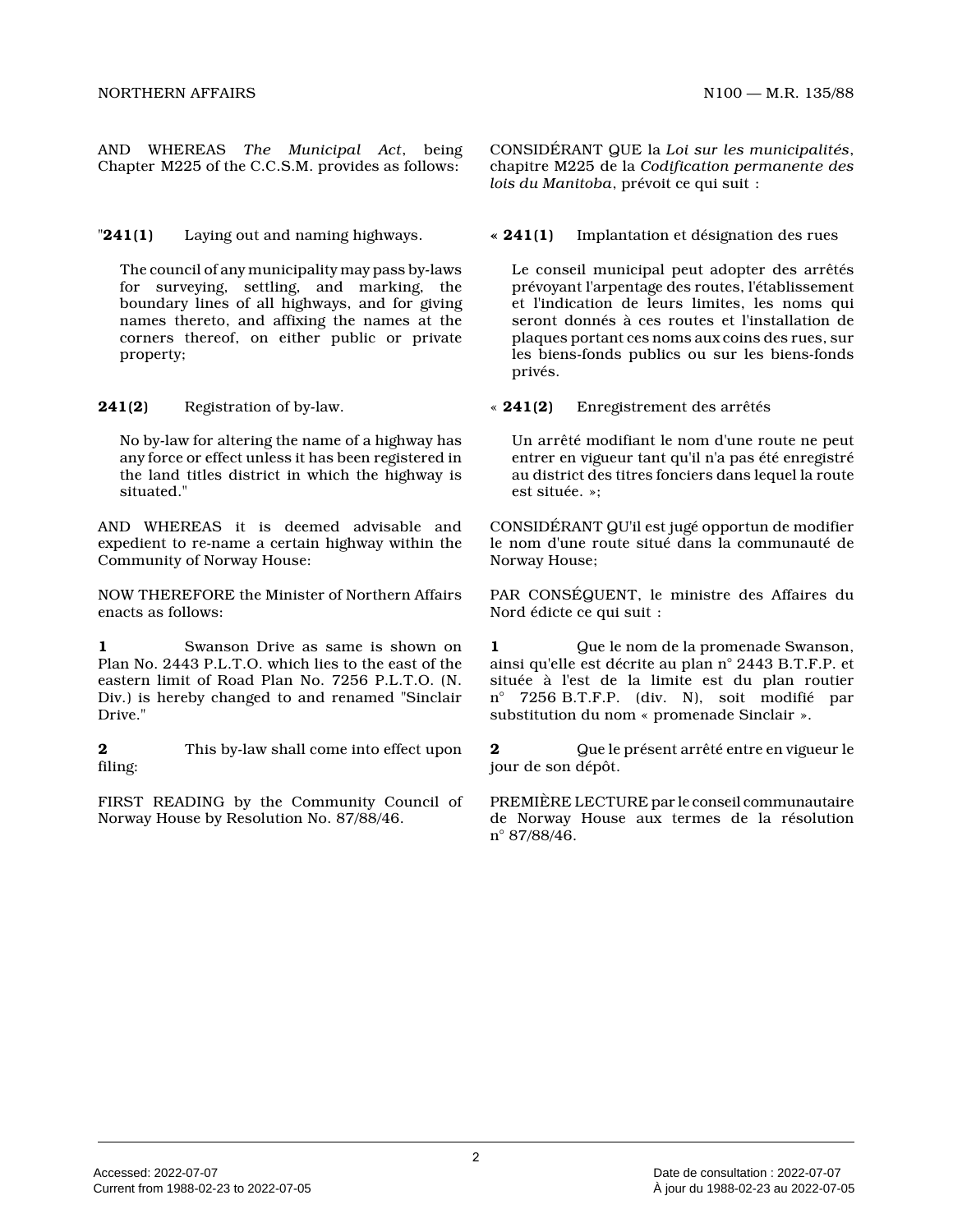AND WHEREAS *The Municipal Act*, being Chapter M225 of the C.C.S.M. provides as follows:

"**241(1)** Laying out and naming highways.

The council of any municipality may pass by-laws for surveying, settling, and marking, the boundary lines of all highways, and for giving names thereto, and affixing the names at the corners thereof, on either public or private property;

**241(2)** Registration of by-law.

No by-law for altering the name of a highway has any force or effect unless it has been registered i n the land titles district in which the highway is situated."

AND WHEREAS it is deemed advisable and expedient to re-name a certain highway within the Community of Norway House:

NOW THEREFORE the Minister of Northern Affairs enacts as follows:

**1** Swanson Drive as same is shown on Plan No. 2443 P.L.T.O. which lies to the east of th e eastern limit of Road Plan No. 7256 P.L.T.O. (N. Div.) is hereby changed to and renamed "Sinclair Drive."

**2** This by-law shall come into effect upon filing:

FIRST READING by the Community Council of Norway House by Resolution No. 87/88/46.

CONSIDÉRANT QUE la *Loi sur les municipalités* , chapitre M225 de la *Codification permanente des lois du Manitoba*, prévoit ce qui suit :

**« 241(1)** Implantation et désignation des rues

Le conseil municipal peut adopter des arrêtés prévoyant l'arpentage des routes, l'établissement et l'indication de leurs limites, les noms qui seront donnés à ces routes et l'installation de plaques portant ces noms aux coins des rues, sur les biens-fonds publics ou sur les biens-fonds privés.

« **241(2)** Enregistrement des arrêtés

Un arrêté modifiant le nom d'une route ne peut entrer en vigueur tant qu'il n'a pas été enregistré au district des titres fonciers dans lequel la rout e est située. »;

CONSIDÉRANT QU'il est jugé opportun de modifier le nom d'une route situé dans la communauté de Norway House;

PAR CONSÉQUENT, le ministre des Affaires du Nord édicte ce qui suit :

**1** Que le nom de la promenade Swanson, ainsi qu'elle est décrite au plan n° 2443 B.T.F.P. et située à l'est de la limite est du plan routier n° 7256 B.T.F.P. (div. N), soit modifié par substitution du nom « promenade Sinclair ».

**2** Que le présent arrêté entre en vigueur le jour de son dépôt.

PREMIÈRE LECTURE par le conseil communautaire de Norway House aux termes de la résolution n° 87/88/46.